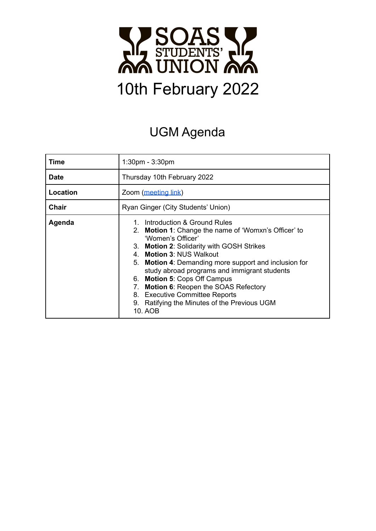

# UGM Agenda

| Time         | 1:30pm - 3:30pm                                                                                                                                                                                                                                                                                                                                                                                                                                                                        |  |
|--------------|----------------------------------------------------------------------------------------------------------------------------------------------------------------------------------------------------------------------------------------------------------------------------------------------------------------------------------------------------------------------------------------------------------------------------------------------------------------------------------------|--|
| <b>Date</b>  | Thursday 10th February 2022                                                                                                                                                                                                                                                                                                                                                                                                                                                            |  |
| Location     | Zoom (meeting link)                                                                                                                                                                                                                                                                                                                                                                                                                                                                    |  |
| <b>Chair</b> | Ryan Ginger (City Students' Union)                                                                                                                                                                                                                                                                                                                                                                                                                                                     |  |
| Agenda       | 1. Introduction & Ground Rules<br>Motion 1: Change the name of 'Womxn's Officer' to<br>$2_{-}$<br>'Women's Officer'<br>3. Motion 2: Solidarity with GOSH Strikes<br>4. Motion 3: NUS Walkout<br>5. Motion 4: Demanding more support and inclusion for<br>study abroad programs and immigrant students<br>6. Motion 5: Cops Off Campus<br><b>Motion 6: Reopen the SOAS Refectory</b><br>7.<br>8. Executive Committee Reports<br>9. Ratifying the Minutes of the Previous UGM<br>10. AOB |  |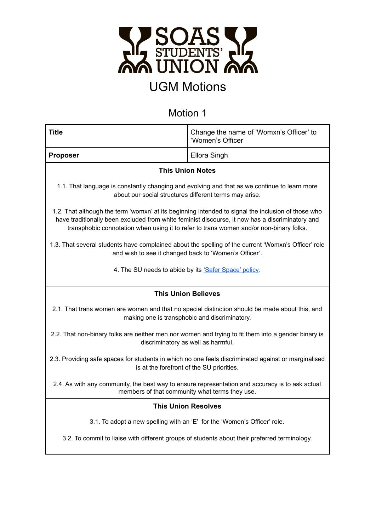

| <b>Title</b>                                                                                                                                                                                                                                                                                    | Change the name of 'Womxn's Officer' to<br>'Women's Officer'                                        |  |
|-------------------------------------------------------------------------------------------------------------------------------------------------------------------------------------------------------------------------------------------------------------------------------------------------|-----------------------------------------------------------------------------------------------------|--|
| <b>Proposer</b>                                                                                                                                                                                                                                                                                 | Ellora Singh                                                                                        |  |
| <b>This Union Notes</b>                                                                                                                                                                                                                                                                         |                                                                                                     |  |
| 1.1. That language is constantly changing and evolving and that as we continue to learn more<br>about our social structures different terms may arise.                                                                                                                                          |                                                                                                     |  |
| 1.2. That although the term 'womxn' at its beginning intended to signal the inclusion of those who<br>have traditionally been excluded from white feminist discourse, it now has a discriminatory and<br>transphobic connotation when using it to refer to trans women and/or non-binary folks. |                                                                                                     |  |
| 1.3. That several students have complained about the spelling of the current 'Womxn's Officer' role<br>and wish to see it changed back to 'Women's Officer'.                                                                                                                                    |                                                                                                     |  |
| 4. The SU needs to abide by its 'Safer Space' policy.                                                                                                                                                                                                                                           |                                                                                                     |  |
| <b>This Union Believes</b>                                                                                                                                                                                                                                                                      |                                                                                                     |  |
|                                                                                                                                                                                                                                                                                                 |                                                                                                     |  |
| 2.1. That trans women are women and that no special distinction should be made about this, and                                                                                                                                                                                                  | making one is transphobic and discriminatory.                                                       |  |
| discriminatory as well as harmful.                                                                                                                                                                                                                                                              | 2.2. That non-binary folks are neither men nor women and trying to fit them into a gender binary is |  |
| 2.3. Providing safe spaces for students in which no one feels discriminated against or marginalised<br>is at the forefront of the SU priorities.                                                                                                                                                |                                                                                                     |  |
| 2.4. As with any community, the best way to ensure representation and accuracy is to ask actual                                                                                                                                                                                                 | members of that community what terms they use.                                                      |  |
|                                                                                                                                                                                                                                                                                                 | <b>This Union Resolves</b>                                                                          |  |
| 3.1. To adopt a new spelling with an 'E' for the 'Women's Officer' role.                                                                                                                                                                                                                        |                                                                                                     |  |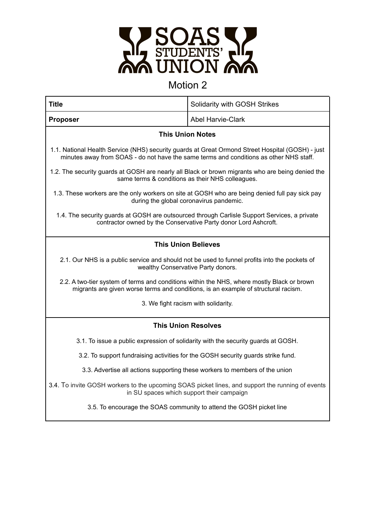

| <b>Title</b>                                                                                                                                                                               | Solidarity with GOSH Strikes |  |
|--------------------------------------------------------------------------------------------------------------------------------------------------------------------------------------------|------------------------------|--|
| <b>Proposer</b>                                                                                                                                                                            | <b>Abel Harvie-Clark</b>     |  |
| <b>This Union Notes</b>                                                                                                                                                                    |                              |  |
| 1.1. National Health Service (NHS) security guards at Great Ormond Street Hospital (GOSH) - just<br>minutes away from SOAS - do not have the same terms and conditions as other NHS staff. |                              |  |
| 1.2. The security guards at GOSH are nearly all Black or brown migrants who are being denied the<br>same terms & conditions as their NHS colleagues.                                       |                              |  |
| 1.3. These workers are the only workers on site at GOSH who are being denied full pay sick pay<br>during the global coronavirus pandemic.                                                  |                              |  |
| 1.4. The security guards at GOSH are outsourced through Carlisle Support Services, a private<br>contractor owned by the Conservative Party donor Lord Ashcroft.                            |                              |  |
| <b>This Union Believes</b>                                                                                                                                                                 |                              |  |
| 2.1. Our NHS is a public service and should not be used to funnel profits into the pockets of<br>wealthy Conservative Party donors.                                                        |                              |  |
| 2.2. A two-tier system of terms and conditions within the NHS, where mostly Black or brown<br>migrants are given worse terms and conditions, is an example of structural racism.           |                              |  |
| 3. We fight racism with solidarity.                                                                                                                                                        |                              |  |
| <b>This Union Resolves</b>                                                                                                                                                                 |                              |  |
| 3.1. To issue a public expression of solidarity with the security guards at GOSH.                                                                                                          |                              |  |
| 3.2. To support fundraising activities for the GOSH security guards strike fund.                                                                                                           |                              |  |
| 3.3. Advertise all actions supporting these workers to members of the union                                                                                                                |                              |  |
| 3.4. To invite GOSH workers to the upcoming SOAS picket lines, and support the running of events<br>in SU spaces which support their campaign                                              |                              |  |
| 3.5. To encourage the SOAS community to attend the GOSH picket line                                                                                                                        |                              |  |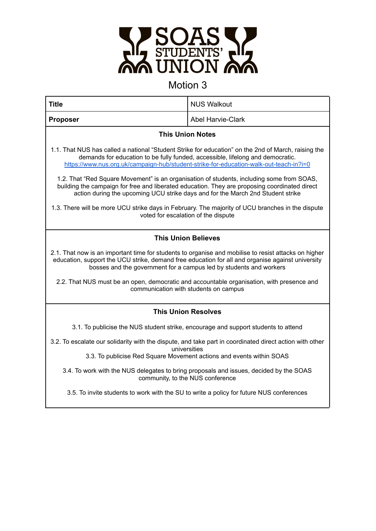

| <b>Title</b>                                                                                                                                                                                                                                                                    | <b>NUS Walkout</b>       |  |
|---------------------------------------------------------------------------------------------------------------------------------------------------------------------------------------------------------------------------------------------------------------------------------|--------------------------|--|
| <b>Proposer</b>                                                                                                                                                                                                                                                                 | <b>Abel Harvie-Clark</b> |  |
| <b>This Union Notes</b>                                                                                                                                                                                                                                                         |                          |  |
| 1.1. That NUS has called a national "Student Strike for education" on the 2nd of March, raising the<br>demands for education to be fully funded, accessible, lifelong and democratic.<br>https://www.nus.org.uk/campaign-hub/student-strike-for-education-walk-out-teach-in?i=0 |                          |  |
| 1.2. That "Red Square Movement" is an organisation of students, including some from SOAS,<br>building the campaign for free and liberated education. They are proposing coordinated direct<br>action during the upcoming UCU strike days and for the March 2nd Student strike   |                          |  |
| 1.3. There will be more UCU strike days in February. The majority of UCU branches in the dispute<br>voted for escalation of the dispute                                                                                                                                         |                          |  |
| <b>This Union Believes</b>                                                                                                                                                                                                                                                      |                          |  |
| 2.1. That now is an important time for students to organise and mobilise to resist attacks on higher<br>education, support the UCU strike, demand free education for all and organise against university<br>bosses and the government for a campus led by students and workers  |                          |  |
| 2.2. That NUS must be an open, democratic and accountable organisation, with presence and<br>communication with students on campus                                                                                                                                              |                          |  |
| <b>This Union Resolves</b>                                                                                                                                                                                                                                                      |                          |  |
| 3.1. To publicise the NUS student strike, encourage and support students to attend                                                                                                                                                                                              |                          |  |
| 3.2. To escalate our solidarity with the dispute, and take part in coordinated direct action with other<br>universities                                                                                                                                                         |                          |  |
| 3.3. To publicise Red Square Movement actions and events within SOAS                                                                                                                                                                                                            |                          |  |
| 3.4. To work with the NUS delegates to bring proposals and issues, decided by the SOAS<br>community, to the NUS conference                                                                                                                                                      |                          |  |
| 3.5. To invite students to work with the SU to write a policy for future NUS conferences                                                                                                                                                                                        |                          |  |
|                                                                                                                                                                                                                                                                                 |                          |  |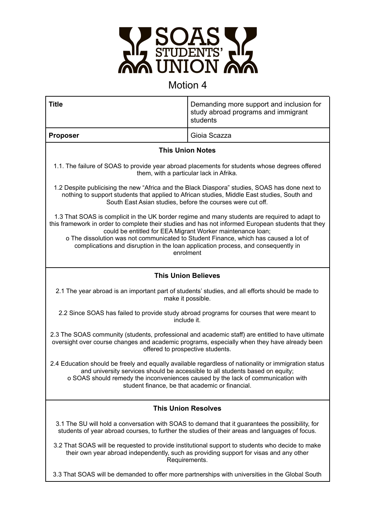

| <b>Title</b>                                                                                                                                                                                                                                                                                                                                                                                                                                                | Demanding more support and inclusion for<br>study abroad programs and immigrant<br>students |  |
|-------------------------------------------------------------------------------------------------------------------------------------------------------------------------------------------------------------------------------------------------------------------------------------------------------------------------------------------------------------------------------------------------------------------------------------------------------------|---------------------------------------------------------------------------------------------|--|
| <b>Proposer</b>                                                                                                                                                                                                                                                                                                                                                                                                                                             | Gioia Scazza                                                                                |  |
| <b>This Union Notes</b>                                                                                                                                                                                                                                                                                                                                                                                                                                     |                                                                                             |  |
| 1.1. The failure of SOAS to provide year abroad placements for students whose degrees offered<br>them, with a particular lack in Afrika.                                                                                                                                                                                                                                                                                                                    |                                                                                             |  |
| 1.2 Despite publicising the new "Africa and the Black Diaspora" studies, SOAS has done next to<br>nothing to support students that applied to African studies, Middle East studies, South and<br>South East Asian studies, before the courses were cut off.                                                                                                                                                                                                 |                                                                                             |  |
| 1.3 That SOAS is complicit in the UK border regime and many students are required to adapt to<br>this framework in order to complete their studies and has not informed European students that they<br>could be entitled for EEA Migrant Worker maintenance loan;<br>o The dissolution was not communicated to Student Finance, which has caused a lot of<br>complications and disruption in the loan application process, and consequently in<br>enrolment |                                                                                             |  |
| <b>This Union Believes</b>                                                                                                                                                                                                                                                                                                                                                                                                                                  |                                                                                             |  |
| 2.1 The year abroad is an important part of students' studies, and all efforts should be made to<br>make it possible.                                                                                                                                                                                                                                                                                                                                       |                                                                                             |  |
| 2.2 Since SOAS has failed to provide study abroad programs for courses that were meant to<br>include it.                                                                                                                                                                                                                                                                                                                                                    |                                                                                             |  |
| 2.3 The SOAS community (students, professional and academic staff) are entitled to have ultimate<br>oversight over course changes and academic programs, especially when they have already been<br>offered to prospective students.                                                                                                                                                                                                                         |                                                                                             |  |
| 2.4 Education should be freely and equally available regardless of nationality or immigration status<br>and university services should be accessible to all students based on equity;<br>o SOAS should remedy the inconveniences caused by the lack of communication with<br>student finance, be that academic or financial.                                                                                                                                |                                                                                             |  |
| <b>This Union Resolves</b>                                                                                                                                                                                                                                                                                                                                                                                                                                  |                                                                                             |  |
| 3.1 The SU will hold a conversation with SOAS to demand that it guarantees the possibility, for<br>students of year abroad courses, to further the studies of their areas and languages of focus.                                                                                                                                                                                                                                                           |                                                                                             |  |
| 3.2 That SOAS will be requested to provide institutional support to students who decide to make<br>their own year abroad independently, such as providing support for visas and any other<br>Requirements.                                                                                                                                                                                                                                                  |                                                                                             |  |
| 3.3 That SOAS will be demanded to offer more partnerships with universities in the Global South                                                                                                                                                                                                                                                                                                                                                             |                                                                                             |  |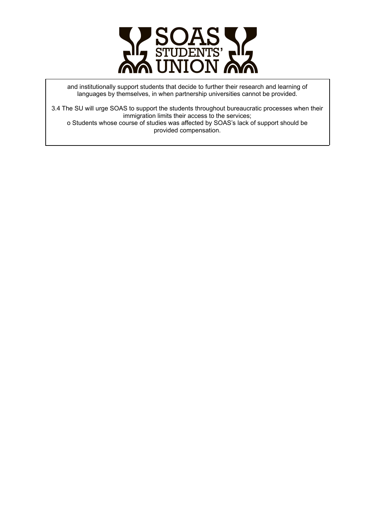

and institutionally support students that decide to further their research and learning of languages by themselves, in when partnership universities cannot be provided.

3.4 The SU will urge SOAS to support the students throughout bureaucratic processes when their immigration limits their access to the services; o Students whose course of studies was affected by SOAS's lack of support should be provided compensation.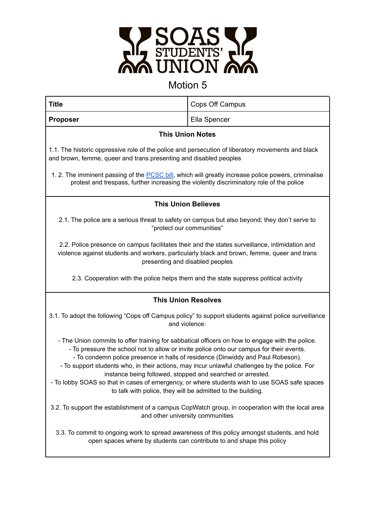

| <b>Title</b>                                                                                                                                                                                                                                                                                                                                                                                                                                                                                                                                                                                                  | Cops Off Campus |  |
|---------------------------------------------------------------------------------------------------------------------------------------------------------------------------------------------------------------------------------------------------------------------------------------------------------------------------------------------------------------------------------------------------------------------------------------------------------------------------------------------------------------------------------------------------------------------------------------------------------------|-----------------|--|
| <b>Proposer</b>                                                                                                                                                                                                                                                                                                                                                                                                                                                                                                                                                                                               | Ella Spencer    |  |
| <b>This Union Notes</b>                                                                                                                                                                                                                                                                                                                                                                                                                                                                                                                                                                                       |                 |  |
| 1.1. The historic oppressive role of the police and persecution of liberatory movements and black<br>and brown, femme, queer and trans presenting and disabled peoples                                                                                                                                                                                                                                                                                                                                                                                                                                        |                 |  |
| 1. 2. The imminent passing of the PCSC bill, which will greatly increase police powers, criminalise<br>protest and trespass, further increasing the violently discriminatory role of the police                                                                                                                                                                                                                                                                                                                                                                                                               |                 |  |
| <b>This Union Believes</b>                                                                                                                                                                                                                                                                                                                                                                                                                                                                                                                                                                                    |                 |  |
| 2.1. The police are a serious threat to safety on campus but also beyond; they don't serve to<br>"protect our communities"                                                                                                                                                                                                                                                                                                                                                                                                                                                                                    |                 |  |
| 2.2. Police presence on campus facilitates their and the states surveillance, intimidation and<br>violence against students and workers, particularly black and brown, femme, queer and trans<br>presenting and disabled peoples                                                                                                                                                                                                                                                                                                                                                                              |                 |  |
| 2.3. Cooperation with the police helps them and the state suppress political activity                                                                                                                                                                                                                                                                                                                                                                                                                                                                                                                         |                 |  |
| <b>This Union Resolves</b>                                                                                                                                                                                                                                                                                                                                                                                                                                                                                                                                                                                    |                 |  |
| 3.1. To adopt the following "Cops off Campus policy" to support students against police surveillance<br>and violence:                                                                                                                                                                                                                                                                                                                                                                                                                                                                                         |                 |  |
| - The Union commits to offer training for sabbatical officers on how to engage with the police.<br>- To pressure the school not to allow or invite police onto our campus for their events.<br>- To condemn police presence in halls of residence (Dinwiddy and Paul Robeson).<br>- To support students who, in their actions, may incur unlawful challenges by the police. For<br>instance being followed, stopped and searched or arrested.<br>- To lobby SOAS so that in cases of emergency, or where students wish to use SOAS safe spaces<br>to talk with police, they will be admitted to the building. |                 |  |
| 3.2. To support the establishment of a campus CopWatch group, in cooperation with the local area<br>and other university communities                                                                                                                                                                                                                                                                                                                                                                                                                                                                          |                 |  |
| 3.3. To commit to ongoing work to spread awareness of this policy amongst students, and hold<br>open spaces where by students can contribute to and shape this policy                                                                                                                                                                                                                                                                                                                                                                                                                                         |                 |  |